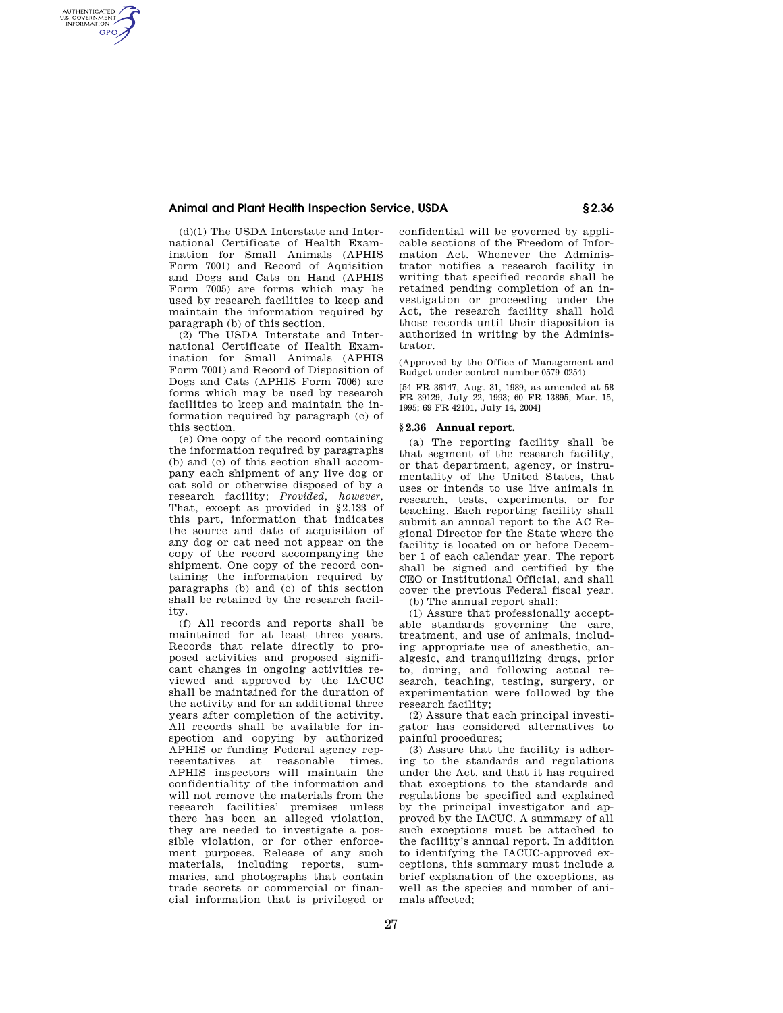## **Animal and Plant Health Inspection Service, USDA § 2.36**

(d)(1) The USDA Interstate and International Certificate of Health Examination for Small Animals (APHIS Form 7001) and Record of Aquisition and Dogs and Cats on Hand (APHIS Form 7005) are forms which may be used by research facilities to keep and maintain the information required by paragraph (b) of this section.

AUTHENTICATED<br>U.S. GOVERNMENT<br>INFORMATION **GPO** 

> (2) The USDA Interstate and International Certificate of Health Examination for Small Animals (APHIS Form 7001) and Record of Disposition of Dogs and Cats (APHIS Form 7006) are forms which may be used by research facilities to keep and maintain the information required by paragraph (c) of this section.

> (e) One copy of the record containing the information required by paragraphs (b) and (c) of this section shall accompany each shipment of any live dog or cat sold or otherwise disposed of by a research facility; *Provided, however,*  That, except as provided in §2.133 of this part, information that indicates the source and date of acquisition of any dog or cat need not appear on the copy of the record accompanying the shipment. One copy of the record containing the information required by paragraphs (b) and (c) of this section shall be retained by the research facility.

> (f) All records and reports shall be maintained for at least three years. Records that relate directly to proposed activities and proposed significant changes in ongoing activities reviewed and approved by the IACUC shall be maintained for the duration of the activity and for an additional three years after completion of the activity. All records shall be available for inspection and copying by authorized APHIS or funding Federal agency representatives at reasonable times. APHIS inspectors will maintain the confidentiality of the information and will not remove the materials from the research facilities' premises unless there has been an alleged violation, they are needed to investigate a possible violation, or for other enforcement purposes. Release of any such materials, including reports, summaries, and photographs that contain trade secrets or commercial or financial information that is privileged or

confidential will be governed by applicable sections of the Freedom of Information Act. Whenever the Administrator notifies a research facility in writing that specified records shall be retained pending completion of an investigation or proceeding under the Act, the research facility shall hold those records until their disposition is authorized in writing by the Administrator.

(Approved by the Office of Management and Budget under control number 0579–0254)

[54 FR 36147, Aug. 31, 1989, as amended at 58 FR 39129, July 22, 1993; 60 FR 13895, Mar. 15, 1995; 69 FR 42101, July 14, 2004]

## **§ 2.36 Annual report.**

(a) The reporting facility shall be that segment of the research facility, or that department, agency, or instrumentality of the United States, that uses or intends to use live animals in research, tests, experiments, or for teaching. Each reporting facility shall submit an annual report to the AC Regional Director for the State where the facility is located on or before December 1 of each calendar year. The report shall be signed and certified by the CEO or Institutional Official, and shall cover the previous Federal fiscal year.

(b) The annual report shall:

(1) Assure that professionally acceptable standards governing the care, treatment, and use of animals, including appropriate use of anesthetic, analgesic, and tranquilizing drugs, prior to, during, and following actual research, teaching, testing, surgery, or experimentation were followed by the research facility;

(2) Assure that each principal investigator has considered alternatives to painful procedures;

(3) Assure that the facility is adhering to the standards and regulations under the Act, and that it has required that exceptions to the standards and regulations be specified and explained by the principal investigator and approved by the IACUC. A summary of all such exceptions must be attached to the facility's annual report. In addition to identifying the IACUC-approved exceptions, this summary must include a brief explanation of the exceptions, as well as the species and number of animals affected;